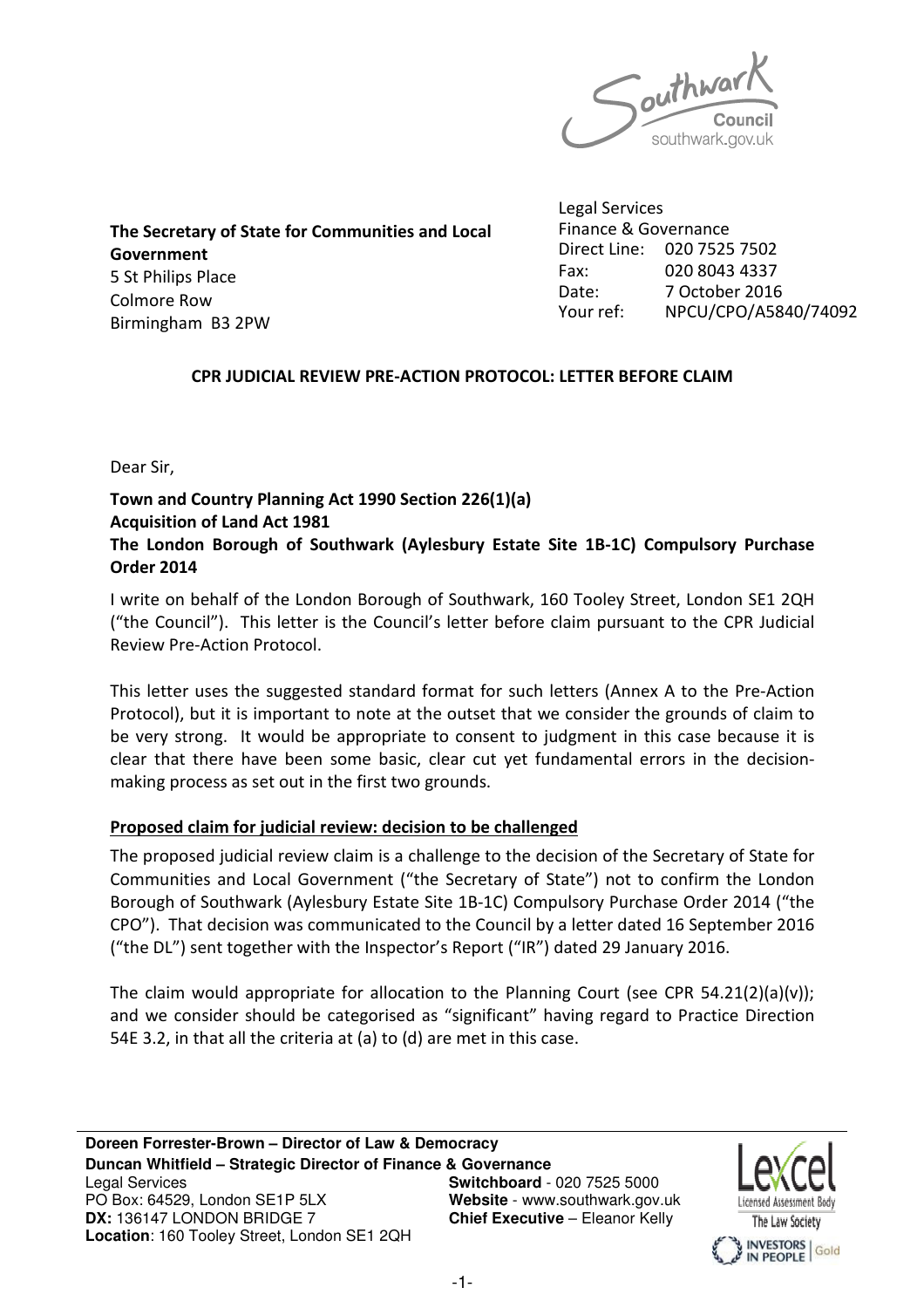

The Secretary of State for Communities and Local Government 5 St Philips Place Colmore Row Birmingham B3 2PW

Legal Services Finance & Governance Direct Line: 020 7525 7502 Fax: 020 8043 4337 Date: 7 October 2016 Your ref: NPCU/CPO/A5840/74092

# CPR JUDICIAL REVIEW PRE-ACTION PROTOCOL: LETTER BEFORE CLAIM

Dear Sir,

### Town and Country Planning Act 1990 Section 226(1)(a) Acquisition of Land Act 1981

# The London Borough of Southwark (Aylesbury Estate Site 1B-1C) Compulsory Purchase Order 2014

I write on behalf of the London Borough of Southwark, 160 Tooley Street, London SE1 2QH ("the Council"). This letter is the Council's letter before claim pursuant to the CPR Judicial Review Pre-Action Protocol.

This letter uses the suggested standard format for such letters (Annex A to the Pre-Action Protocol), but it is important to note at the outset that we consider the grounds of claim to be very strong. It would be appropriate to consent to judgment in this case because it is clear that there have been some basic, clear cut yet fundamental errors in the decisionmaking process as set out in the first two grounds.

# Proposed claim for judicial review: decision to be challenged

The proposed judicial review claim is a challenge to the decision of the Secretary of State for Communities and Local Government ("the Secretary of State") not to confirm the London Borough of Southwark (Aylesbury Estate Site 1B-1C) Compulsory Purchase Order 2014 ("the CPO"). That decision was communicated to the Council by a letter dated 16 September 2016 ("the DL") sent together with the Inspector's Report ("IR") dated 29 January 2016.

The claim would appropriate for allocation to the Planning Court (see CPR 54.21(2)(a)(v)); and we consider should be categorised as "significant" having regard to Practice Direction 54E 3.2, in that all the criteria at (a) to (d) are met in this case.

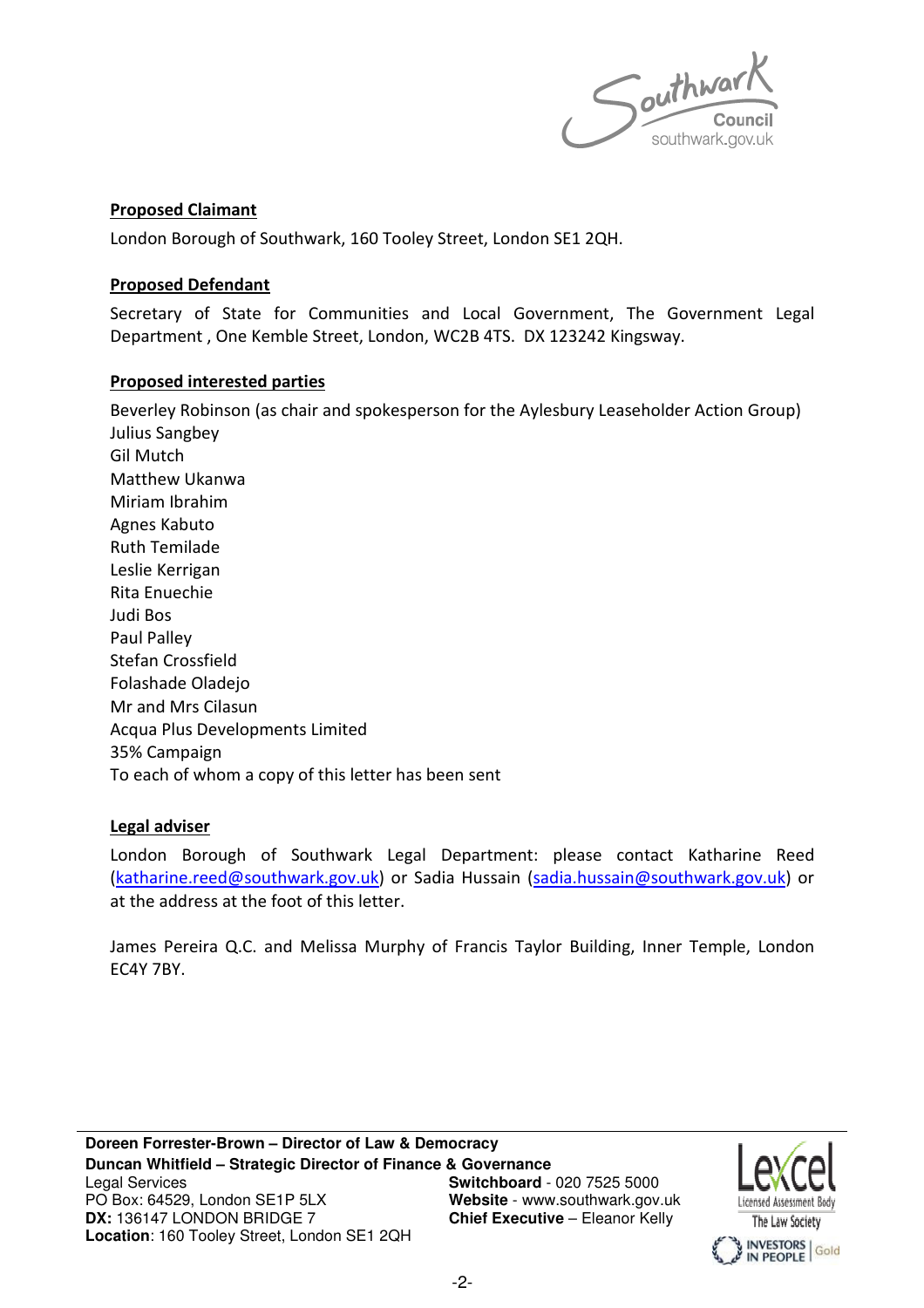

### Proposed Claimant

London Borough of Southwark, 160 Tooley Street, London SE1 2QH.

### Proposed Defendant

Secretary of State for Communities and Local Government, The Government Legal Department , One Kemble Street, London, WC2B 4TS. DX 123242 Kingsway.

### Proposed interested parties

Beverley Robinson (as chair and spokesperson for the Aylesbury Leaseholder Action Group) Julius Sangbey Gil Mutch Matthew Ukanwa Miriam Ibrahim Agnes Kabuto Ruth Temilade Leslie Kerrigan Rita Enuechie Judi Bos Paul Palley Stefan Crossfield Folashade Oladejo Mr and Mrs Cilasun Acqua Plus Developments Limited 35% Campaign To each of whom a copy of this letter has been sent

# Legal adviser

London Borough of Southwark Legal Department: please contact Katharine Reed (katharine.reed@southwark.gov.uk) or Sadia Hussain (sadia.hussain@southwark.gov.uk) or at the address at the foot of this letter.

James Pereira Q.C. and Melissa Murphy of Francis Taylor Building, Inner Temple, London EC4Y 7BY.

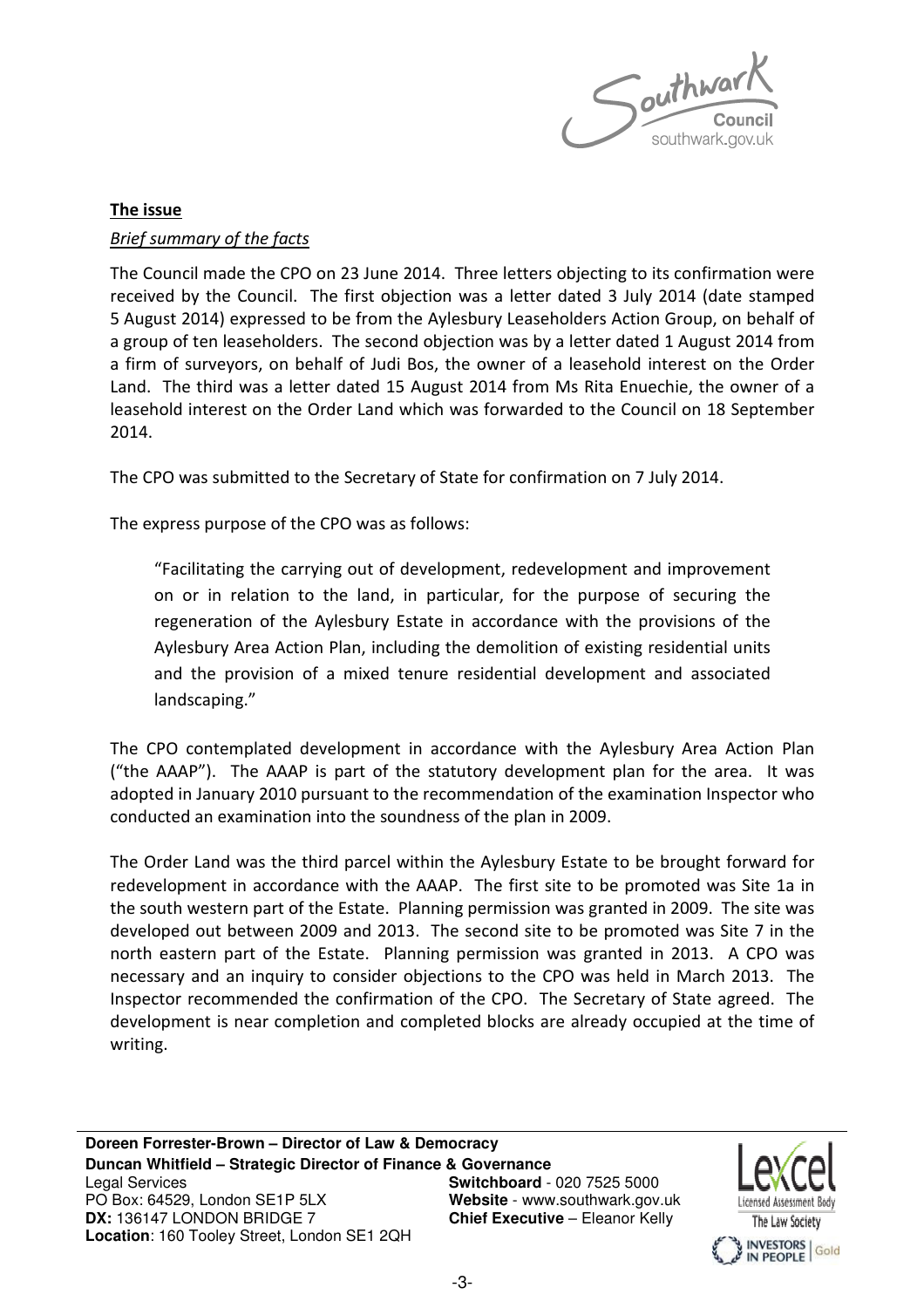

# The issue Brief summary of the facts

The Council made the CPO on 23 June 2014. Three letters objecting to its confirmation were received by the Council. The first objection was a letter dated 3 July 2014 (date stamped 5 August 2014) expressed to be from the Aylesbury Leaseholders Action Group, on behalf of a group of ten leaseholders. The second objection was by a letter dated 1 August 2014 from a firm of surveyors, on behalf of Judi Bos, the owner of a leasehold interest on the Order Land. The third was a letter dated 15 August 2014 from Ms Rita Enuechie, the owner of a leasehold interest on the Order Land which was forwarded to the Council on 18 September 2014.

The CPO was submitted to the Secretary of State for confirmation on 7 July 2014.

The express purpose of the CPO was as follows:

"Facilitating the carrying out of development, redevelopment and improvement on or in relation to the land, in particular, for the purpose of securing the regeneration of the Aylesbury Estate in accordance with the provisions of the Aylesbury Area Action Plan, including the demolition of existing residential units and the provision of a mixed tenure residential development and associated landscaping."

The CPO contemplated development in accordance with the Aylesbury Area Action Plan ("the AAAP"). The AAAP is part of the statutory development plan for the area. It was adopted in January 2010 pursuant to the recommendation of the examination Inspector who conducted an examination into the soundness of the plan in 2009.

The Order Land was the third parcel within the Aylesbury Estate to be brought forward for redevelopment in accordance with the AAAP. The first site to be promoted was Site 1a in the south western part of the Estate. Planning permission was granted in 2009. The site was developed out between 2009 and 2013. The second site to be promoted was Site 7 in the north eastern part of the Estate. Planning permission was granted in 2013. A CPO was necessary and an inquiry to consider objections to the CPO was held in March 2013. The Inspector recommended the confirmation of the CPO. The Secretary of State agreed. The development is near completion and completed blocks are already occupied at the time of writing.

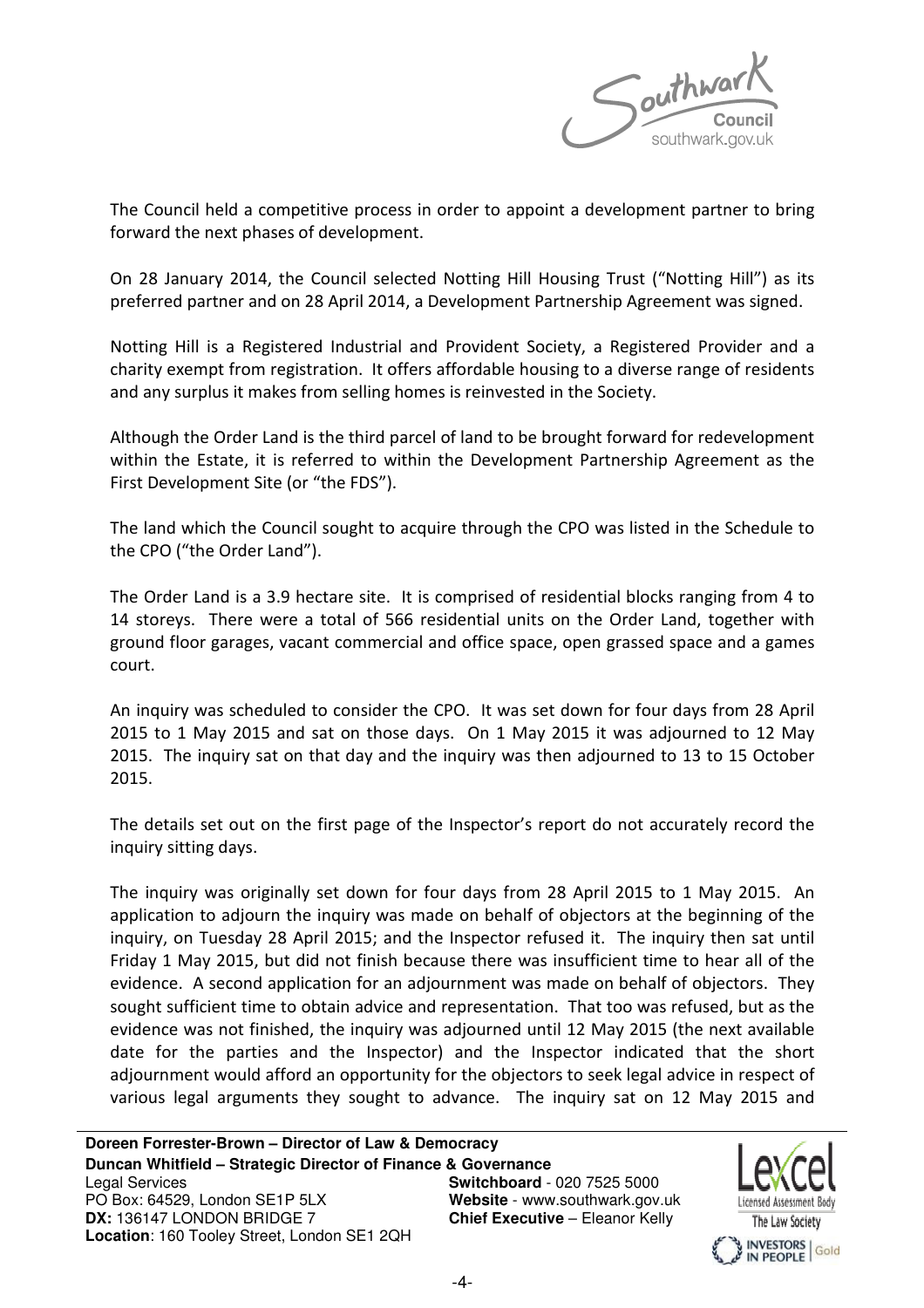

The Council held a competitive process in order to appoint a development partner to bring forward the next phases of development.

On 28 January 2014, the Council selected Notting Hill Housing Trust ("Notting Hill") as its preferred partner and on 28 April 2014, a Development Partnership Agreement was signed.

Notting Hill is a Registered Industrial and Provident Society, a Registered Provider and a charity exempt from registration. It offers affordable housing to a diverse range of residents and any surplus it makes from selling homes is reinvested in the Society.

Although the Order Land is the third parcel of land to be brought forward for redevelopment within the Estate, it is referred to within the Development Partnership Agreement as the First Development Site (or "the FDS").

The land which the Council sought to acquire through the CPO was listed in the Schedule to the CPO ("the Order Land").

The Order Land is a 3.9 hectare site. It is comprised of residential blocks ranging from 4 to 14 storeys. There were a total of 566 residential units on the Order Land, together with ground floor garages, vacant commercial and office space, open grassed space and a games court.

An inquiry was scheduled to consider the CPO. It was set down for four days from 28 April 2015 to 1 May 2015 and sat on those days. On 1 May 2015 it was adjourned to 12 May 2015. The inquiry sat on that day and the inquiry was then adjourned to 13 to 15 October 2015.

The details set out on the first page of the Inspector's report do not accurately record the inquiry sitting days.

The inquiry was originally set down for four days from 28 April 2015 to 1 May 2015. An application to adjourn the inquiry was made on behalf of objectors at the beginning of the inquiry, on Tuesday 28 April 2015; and the Inspector refused it. The inquiry then sat until Friday 1 May 2015, but did not finish because there was insufficient time to hear all of the evidence. A second application for an adjournment was made on behalf of objectors. They sought sufficient time to obtain advice and representation. That too was refused, but as the evidence was not finished, the inquiry was adjourned until 12 May 2015 (the next available date for the parties and the Inspector) and the Inspector indicated that the short adjournment would afford an opportunity for the objectors to seek legal advice in respect of various legal arguments they sought to advance. The inquiry sat on 12 May 2015 and

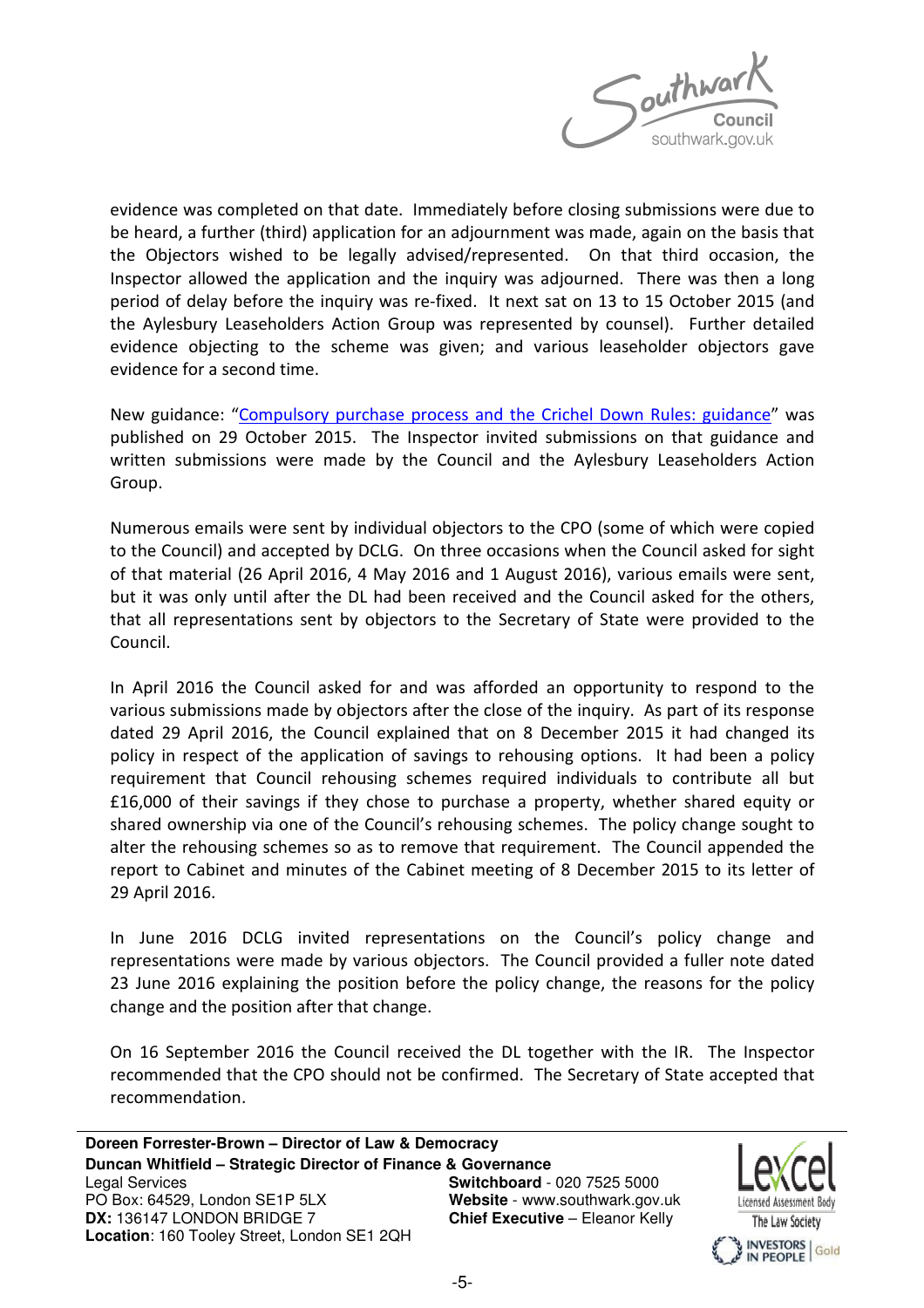

evidence was completed on that date. Immediately before closing submissions were due to be heard, a further (third) application for an adjournment was made, again on the basis that the Objectors wished to be legally advised/represented. On that third occasion, the Inspector allowed the application and the inquiry was adjourned. There was then a long period of delay before the inquiry was re-fixed. It next sat on 13 to 15 October 2015 (and the Aylesbury Leaseholders Action Group was represented by counsel). Further detailed evidence objecting to the scheme was given; and various leaseholder objectors gave evidence for a second time.

New guidance: "Compulsory purchase process and the Crichel Down Rules: guidance" was published on 29 October 2015. The Inspector invited submissions on that guidance and written submissions were made by the Council and the Aylesbury Leaseholders Action Group.

Numerous emails were sent by individual objectors to the CPO (some of which were copied to the Council) and accepted by DCLG. On three occasions when the Council asked for sight of that material (26 April 2016, 4 May 2016 and 1 August 2016), various emails were sent, but it was only until after the DL had been received and the Council asked for the others, that all representations sent by objectors to the Secretary of State were provided to the Council.

In April 2016 the Council asked for and was afforded an opportunity to respond to the various submissions made by objectors after the close of the inquiry. As part of its response dated 29 April 2016, the Council explained that on 8 December 2015 it had changed its policy in respect of the application of savings to rehousing options. It had been a policy requirement that Council rehousing schemes required individuals to contribute all but £16,000 of their savings if they chose to purchase a property, whether shared equity or shared ownership via one of the Council's rehousing schemes. The policy change sought to alter the rehousing schemes so as to remove that requirement. The Council appended the report to Cabinet and minutes of the Cabinet meeting of 8 December 2015 to its letter of 29 April 2016.

In June 2016 DCLG invited representations on the Council's policy change and representations were made by various objectors. The Council provided a fuller note dated 23 June 2016 explaining the position before the policy change, the reasons for the policy change and the position after that change.

On 16 September 2016 the Council received the DL together with the IR. The Inspector recommended that the CPO should not be confirmed. The Secretary of State accepted that recommendation.

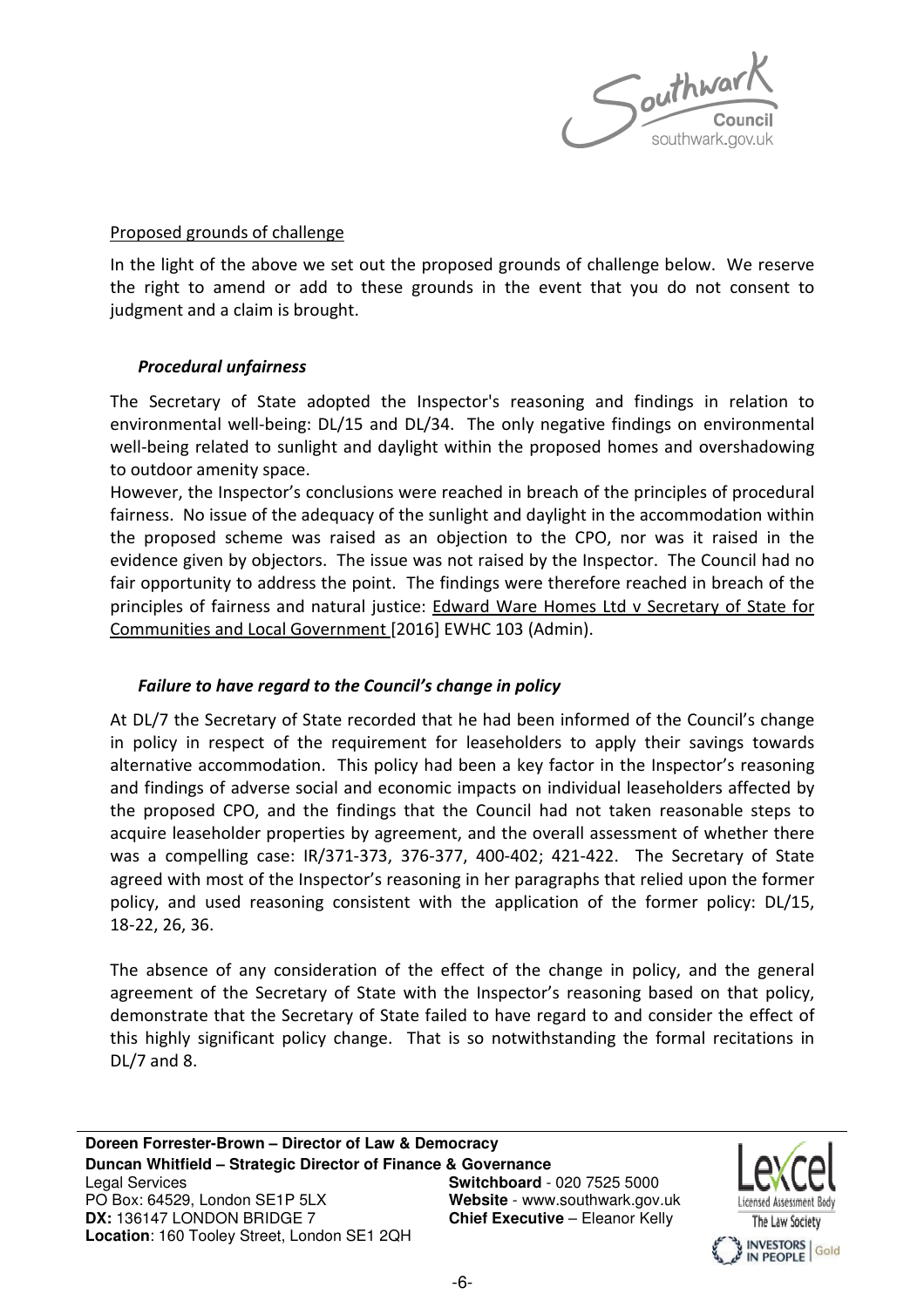

### Proposed grounds of challenge

In the light of the above we set out the proposed grounds of challenge below. We reserve the right to amend or add to these grounds in the event that you do not consent to judgment and a claim is brought.

### Procedural unfairness

The Secretary of State adopted the Inspector's reasoning and findings in relation to environmental well-being: DL/15 and DL/34. The only negative findings on environmental well-being related to sunlight and daylight within the proposed homes and overshadowing to outdoor amenity space.

However, the Inspector's conclusions were reached in breach of the principles of procedural fairness. No issue of the adequacy of the sunlight and daylight in the accommodation within the proposed scheme was raised as an objection to the CPO, nor was it raised in the evidence given by objectors. The issue was not raised by the Inspector. The Council had no fair opportunity to address the point. The findings were therefore reached in breach of the principles of fairness and natural justice: Edward Ware Homes Ltd v Secretary of State for Communities and Local Government [2016] EWHC 103 (Admin).

# Failure to have regard to the Council's change in policy

At DL/7 the Secretary of State recorded that he had been informed of the Council's change in policy in respect of the requirement for leaseholders to apply their savings towards alternative accommodation. This policy had been a key factor in the Inspector's reasoning and findings of adverse social and economic impacts on individual leaseholders affected by the proposed CPO, and the findings that the Council had not taken reasonable steps to acquire leaseholder properties by agreement, and the overall assessment of whether there was a compelling case: IR/371-373, 376-377, 400-402; 421-422. The Secretary of State agreed with most of the Inspector's reasoning in her paragraphs that relied upon the former policy, and used reasoning consistent with the application of the former policy: DL/15, 18-22, 26, 36.

The absence of any consideration of the effect of the change in policy, and the general agreement of the Secretary of State with the Inspector's reasoning based on that policy, demonstrate that the Secretary of State failed to have regard to and consider the effect of this highly significant policy change. That is so notwithstanding the formal recitations in DL/7 and 8.

The Law Society INVESTORS Gold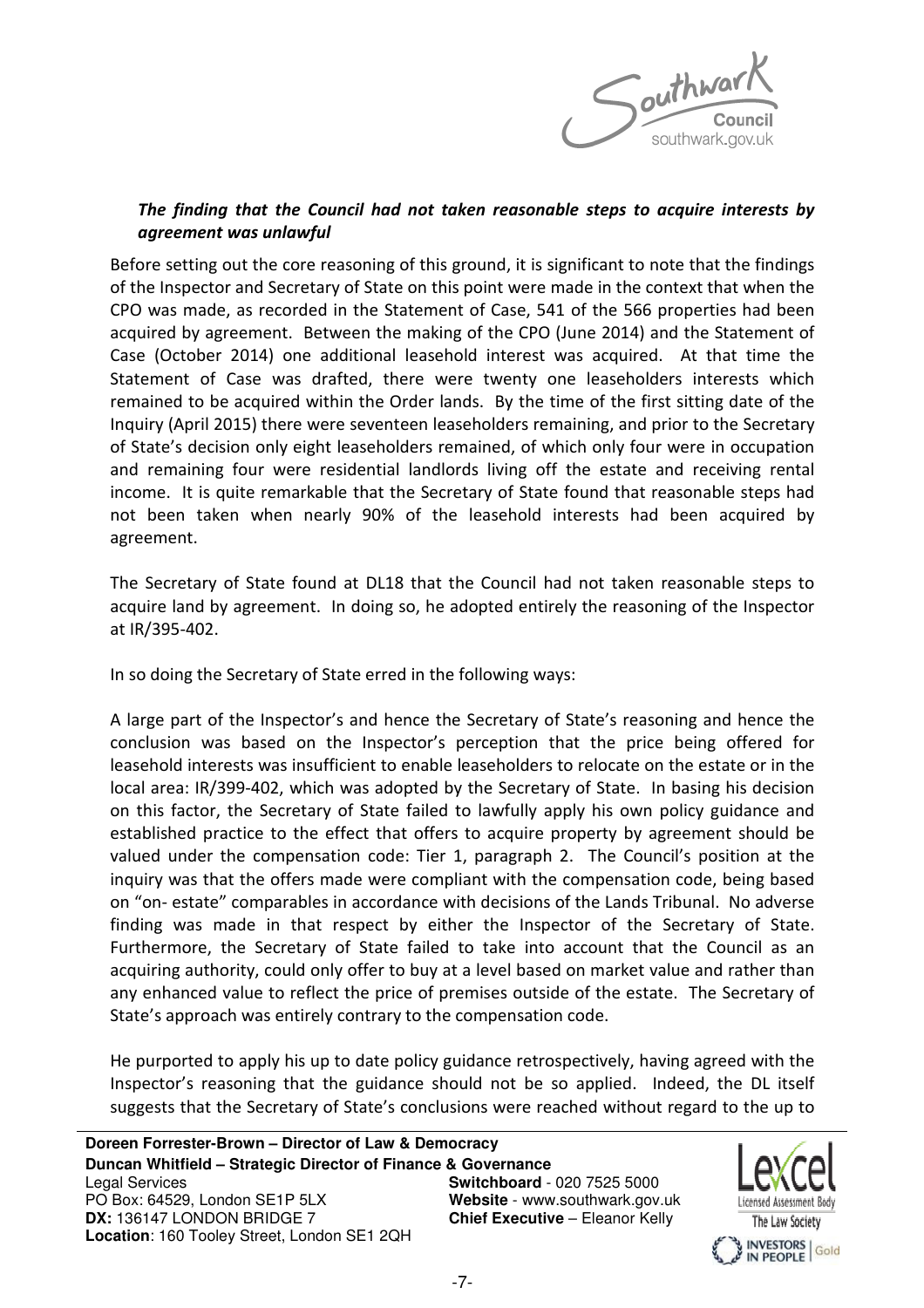

# The finding that the Council had not taken reasonable steps to acquire interests by agreement was unlawful

Before setting out the core reasoning of this ground, it is significant to note that the findings of the Inspector and Secretary of State on this point were made in the context that when the CPO was made, as recorded in the Statement of Case, 541 of the 566 properties had been acquired by agreement. Between the making of the CPO (June 2014) and the Statement of Case (October 2014) one additional leasehold interest was acquired. At that time the Statement of Case was drafted, there were twenty one leaseholders interests which remained to be acquired within the Order lands. By the time of the first sitting date of the Inquiry (April 2015) there were seventeen leaseholders remaining, and prior to the Secretary of State's decision only eight leaseholders remained, of which only four were in occupation and remaining four were residential landlords living off the estate and receiving rental income. It is quite remarkable that the Secretary of State found that reasonable steps had not been taken when nearly 90% of the leasehold interests had been acquired by agreement.

The Secretary of State found at DL18 that the Council had not taken reasonable steps to acquire land by agreement. In doing so, he adopted entirely the reasoning of the Inspector at IR/395-402.

In so doing the Secretary of State erred in the following ways:

A large part of the Inspector's and hence the Secretary of State's reasoning and hence the conclusion was based on the Inspector's perception that the price being offered for leasehold interests was insufficient to enable leaseholders to relocate on the estate or in the local area: IR/399-402, which was adopted by the Secretary of State. In basing his decision on this factor, the Secretary of State failed to lawfully apply his own policy guidance and established practice to the effect that offers to acquire property by agreement should be valued under the compensation code: Tier 1, paragraph 2. The Council's position at the inquiry was that the offers made were compliant with the compensation code, being based on "on- estate" comparables in accordance with decisions of the Lands Tribunal. No adverse finding was made in that respect by either the Inspector of the Secretary of State. Furthermore, the Secretary of State failed to take into account that the Council as an acquiring authority, could only offer to buy at a level based on market value and rather than any enhanced value to reflect the price of premises outside of the estate. The Secretary of State's approach was entirely contrary to the compensation code.

He purported to apply his up to date policy guidance retrospectively, having agreed with the Inspector's reasoning that the guidance should not be so applied. Indeed, the DL itself suggests that the Secretary of State's conclusions were reached without regard to the up to

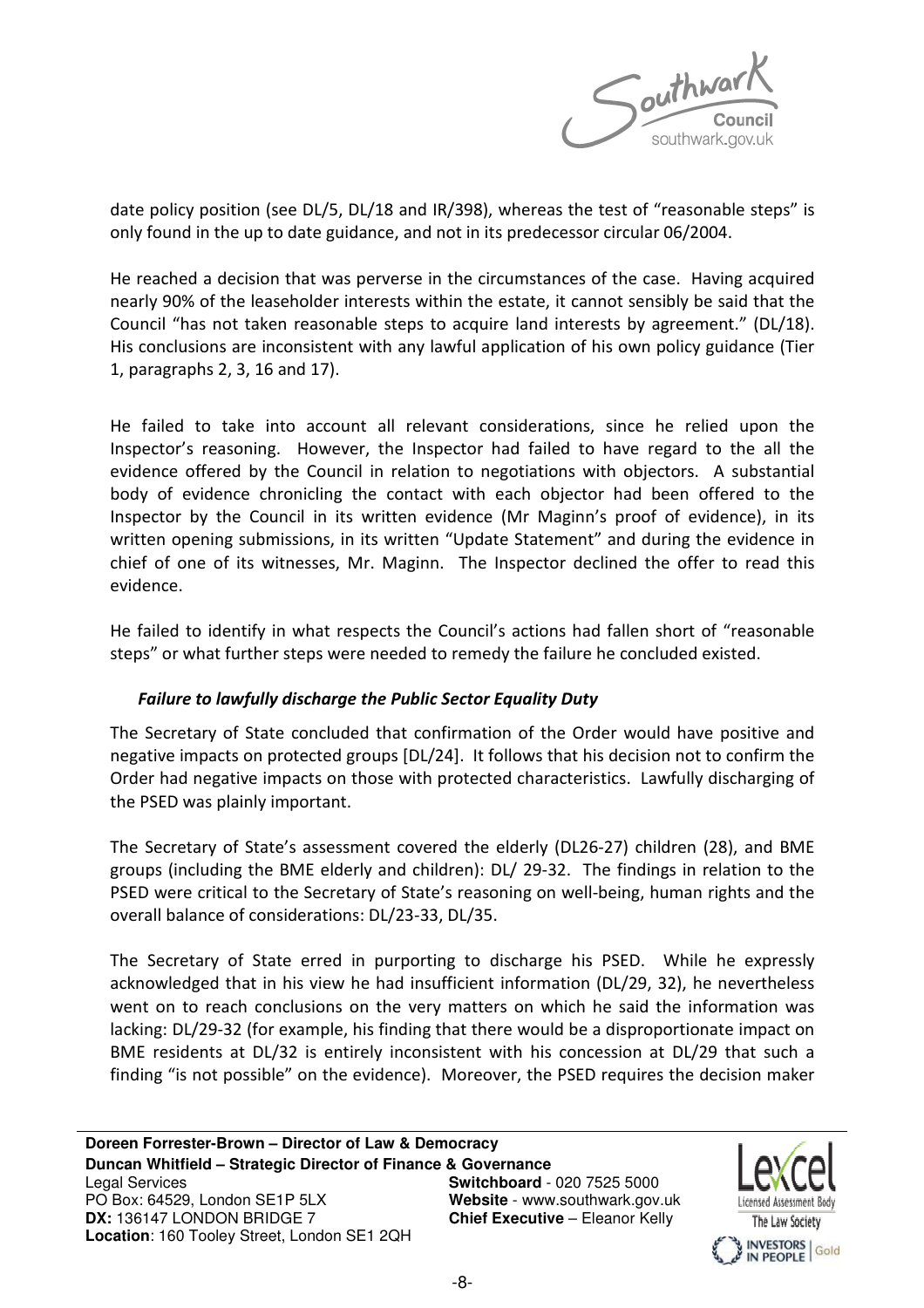

date policy position (see DL/5, DL/18 and IR/398), whereas the test of "reasonable steps" is only found in the up to date guidance, and not in its predecessor circular 06/2004.

He reached a decision that was perverse in the circumstances of the case. Having acquired nearly 90% of the leaseholder interests within the estate, it cannot sensibly be said that the Council "has not taken reasonable steps to acquire land interests by agreement." (DL/18). His conclusions are inconsistent with any lawful application of his own policy guidance (Tier 1, paragraphs 2, 3, 16 and 17).

He failed to take into account all relevant considerations, since he relied upon the Inspector's reasoning. However, the Inspector had failed to have regard to the all the evidence offered by the Council in relation to negotiations with objectors. A substantial body of evidence chronicling the contact with each objector had been offered to the Inspector by the Council in its written evidence (Mr Maginn's proof of evidence), in its written opening submissions, in its written "Update Statement" and during the evidence in chief of one of its witnesses, Mr. Maginn. The Inspector declined the offer to read this evidence.

He failed to identify in what respects the Council's actions had fallen short of "reasonable steps" or what further steps were needed to remedy the failure he concluded existed.

# Failure to lawfully discharge the Public Sector Equality Duty

The Secretary of State concluded that confirmation of the Order would have positive and negative impacts on protected groups [DL/24]. It follows that his decision not to confirm the Order had negative impacts on those with protected characteristics. Lawfully discharging of the PSED was plainly important.

The Secretary of State's assessment covered the elderly (DL26-27) children (28), and BME groups (including the BME elderly and children): DL/ 29-32. The findings in relation to the PSED were critical to the Secretary of State's reasoning on well-being, human rights and the overall balance of considerations: DL/23-33, DL/35.

The Secretary of State erred in purporting to discharge his PSED. While he expressly acknowledged that in his view he had insufficient information (DL/29, 32), he nevertheless went on to reach conclusions on the very matters on which he said the information was lacking: DL/29-32 (for example, his finding that there would be a disproportionate impact on BME residents at DL/32 is entirely inconsistent with his concession at DL/29 that such a finding "is not possible" on the evidence). Moreover, the PSED requires the decision maker

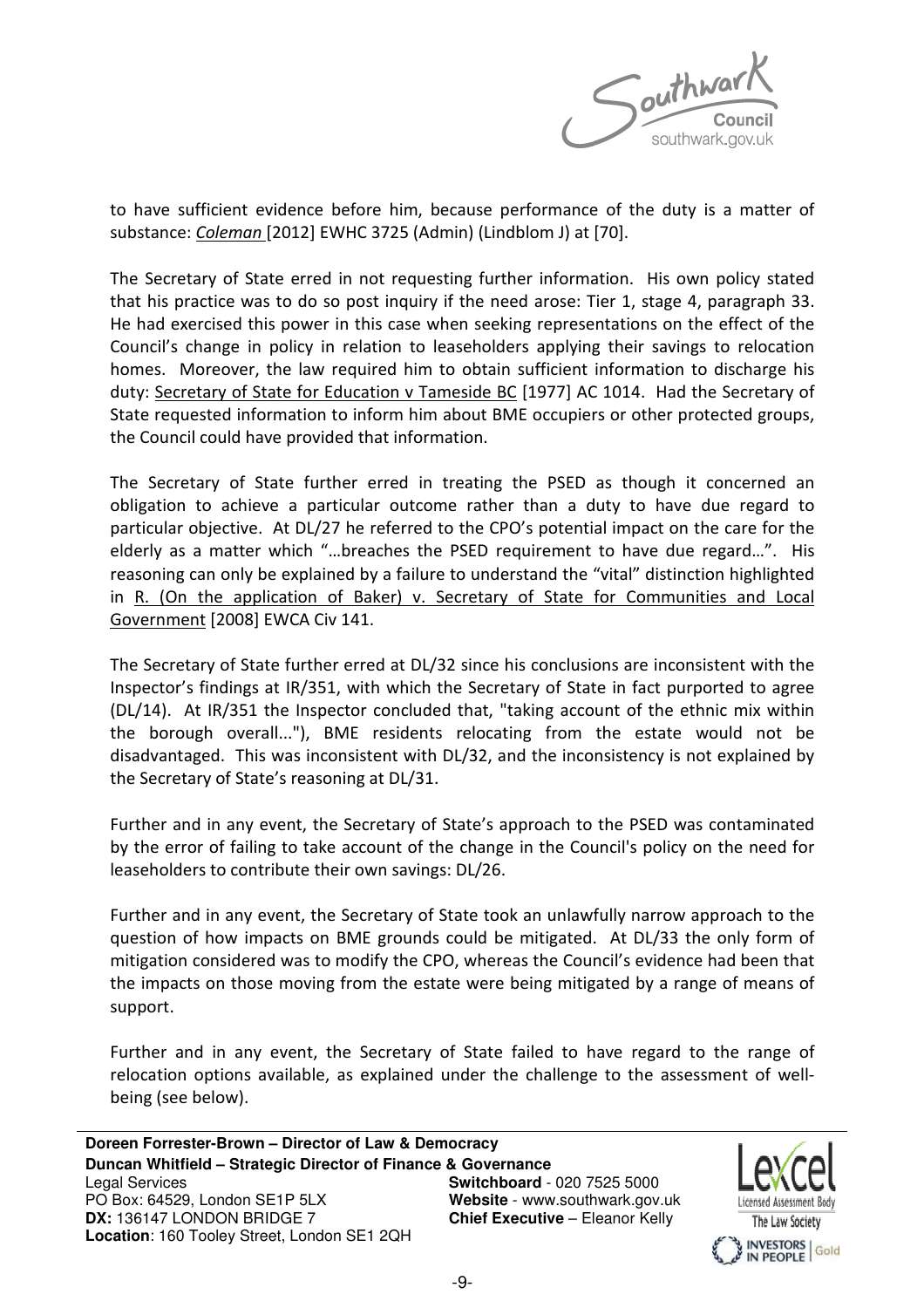

to have sufficient evidence before him, because performance of the duty is a matter of substance: Coleman [2012] EWHC 3725 (Admin) (Lindblom J) at [70].

The Secretary of State erred in not requesting further information. His own policy stated that his practice was to do so post inquiry if the need arose: Tier 1, stage 4, paragraph 33. He had exercised this power in this case when seeking representations on the effect of the Council's change in policy in relation to leaseholders applying their savings to relocation homes. Moreover, the law required him to obtain sufficient information to discharge his duty: Secretary of State for Education v Tameside BC [1977] AC 1014. Had the Secretary of State requested information to inform him about BME occupiers or other protected groups, the Council could have provided that information.

The Secretary of State further erred in treating the PSED as though it concerned an obligation to achieve a particular outcome rather than a duty to have due regard to particular objective. At DL/27 he referred to the CPO's potential impact on the care for the elderly as a matter which "…breaches the PSED requirement to have due regard…". His reasoning can only be explained by a failure to understand the "vital" distinction highlighted in R. (On the application of Baker) v. Secretary of State for Communities and Local Government [2008] EWCA Civ 141.

The Secretary of State further erred at DL/32 since his conclusions are inconsistent with the Inspector's findings at IR/351, with which the Secretary of State in fact purported to agree (DL/14). At IR/351 the Inspector concluded that, "taking account of the ethnic mix within the borough overall..."), BME residents relocating from the estate would not be disadvantaged. This was inconsistent with DL/32, and the inconsistency is not explained by the Secretary of State's reasoning at DL/31.

Further and in any event, the Secretary of State's approach to the PSED was contaminated by the error of failing to take account of the change in the Council's policy on the need for leaseholders to contribute their own savings: DL/26.

Further and in any event, the Secretary of State took an unlawfully narrow approach to the question of how impacts on BME grounds could be mitigated. At DL/33 the only form of mitigation considered was to modify the CPO, whereas the Council's evidence had been that the impacts on those moving from the estate were being mitigated by a range of means of support.

Further and in any event, the Secretary of State failed to have regard to the range of relocation options available, as explained under the challenge to the assessment of wellbeing (see below).

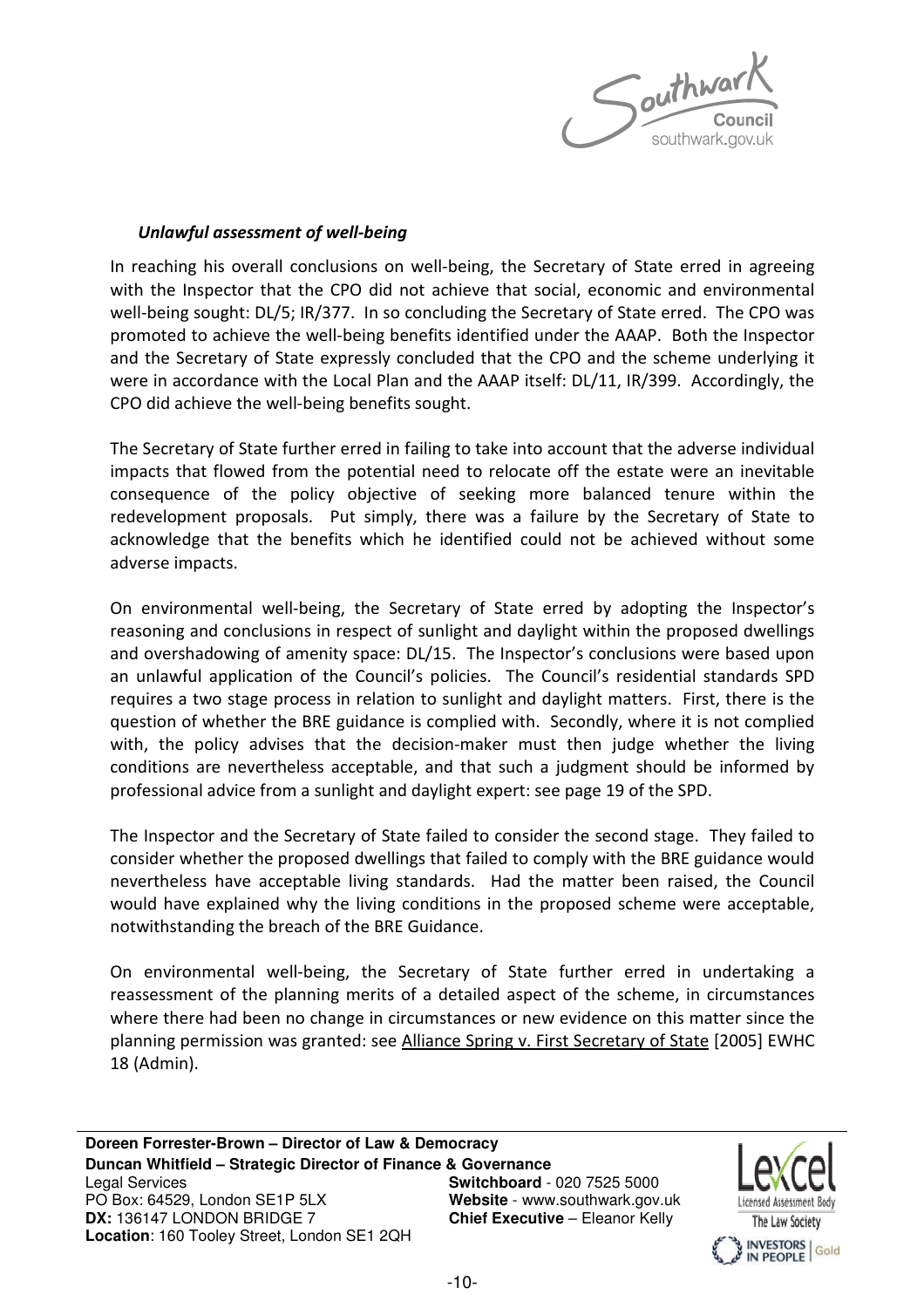

#### Unlawful assessment of well-being

In reaching his overall conclusions on well-being, the Secretary of State erred in agreeing with the Inspector that the CPO did not achieve that social, economic and environmental well-being sought: DL/5; IR/377. In so concluding the Secretary of State erred. The CPO was promoted to achieve the well-being benefits identified under the AAAP. Both the Inspector and the Secretary of State expressly concluded that the CPO and the scheme underlying it were in accordance with the Local Plan and the AAAP itself: DL/11, IR/399. Accordingly, the CPO did achieve the well-being benefits sought.

The Secretary of State further erred in failing to take into account that the adverse individual impacts that flowed from the potential need to relocate off the estate were an inevitable consequence of the policy objective of seeking more balanced tenure within the redevelopment proposals. Put simply, there was a failure by the Secretary of State to acknowledge that the benefits which he identified could not be achieved without some adverse impacts.

On environmental well-being, the Secretary of State erred by adopting the Inspector's reasoning and conclusions in respect of sunlight and daylight within the proposed dwellings and overshadowing of amenity space: DL/15. The Inspector's conclusions were based upon an unlawful application of the Council's policies. The Council's residential standards SPD requires a two stage process in relation to sunlight and daylight matters. First, there is the question of whether the BRE guidance is complied with. Secondly, where it is not complied with, the policy advises that the decision-maker must then judge whether the living conditions are nevertheless acceptable, and that such a judgment should be informed by professional advice from a sunlight and daylight expert: see page 19 of the SPD.

The Inspector and the Secretary of State failed to consider the second stage. They failed to consider whether the proposed dwellings that failed to comply with the BRE guidance would nevertheless have acceptable living standards. Had the matter been raised, the Council would have explained why the living conditions in the proposed scheme were acceptable, notwithstanding the breach of the BRE Guidance.

On environmental well-being, the Secretary of State further erred in undertaking a reassessment of the planning merits of a detailed aspect of the scheme, in circumstances where there had been no change in circumstances or new evidence on this matter since the planning permission was granted: see Alliance Spring v. First Secretary of State [2005] EWHC 18 (Admin).